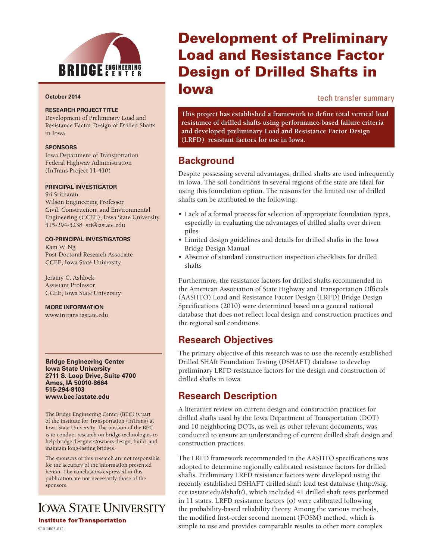

#### **October 2014**

#### **RESEARCH PROJECT TITLE**

Development of Preliminary Load and Resistance Factor Design of Drilled Shafts in Iowa

#### **SPONSORS**

Iowa Department of Transportation Federal Highway Administration (InTrans Project 11-410)

#### **PRINCIPAL INVESTIGATOR**

Sri Sritharan Wilson Engineering Professor Civil, Construction, and Environmental Engineering (CCEE), Iowa State University 515-294-5238 sri@iastate.edu

#### **CO-PRINCIPAL INVESTIGATORS**

Kam W. Ng Post-Doctoral Research Associate CCEE, Iowa State University

Jeramy C. Ashlock Assistant Professor CCEE, Iowa State University

**MORE INFORMATION**

www.intrans.iastate.edu

**Bridge Engineering Center Iowa State University 2711 S. Loop Drive, Suite 4700 Ames, IA 50010-8664 515-294-8103 www.bec.iastate.edu**

The Bridge Engineering Center (BEC) is part of the Institute for Transportation (InTrans) at Iowa State University. The mission of the BEC is to conduct research on bridge technologies to help bridge designers/owners design, build, and maintain long-lasting bridges.

The sponsors of this research are not responsible for the accuracy of the information presented herein. The conclusions expressed in this publication are not necessarily those of the sponsors.

**IOWA STATE UNIVERSITY Institute for Transportation** 

# Development of Preliminary Load and Resistance Factor Design of Drilled Shafts in Iowa

tech transfer summary

**This project has established a framework to define total vertical load resistance of drilled shafts using performance-based failure criteria and developed preliminary Load and Resistance Factor Design (LRFD) resistant factors for use in Iowa.** 

## **Background**

Despite possessing several advantages, drilled shafts are used infrequently in Iowa. The soil conditions in several regions of the state are ideal for using this foundation option. The reasons for the limited use of drilled shafts can be attributed to the following:

- Lack of a formal process for selection of appropriate foundation types, especially in evaluating the advantages of drilled shafts over driven piles
- Limited design guidelines and details for drilled shafts in the Iowa Bridge Design Manual
- Absence of standard construction inspection checklists for drilled shafts

Furthermore, the resistance factors for drilled shafts recommended in the American Association of State Highway and Transportation Officials (AASHTO) Load and Resistance Factor Design (LRFD) Bridge Design Specifications (2010) were determined based on a general national database that does not reflect local design and construction practices and the regional soil conditions.

### **Research Objectives**

The primary objective of this research was to use the recently established Drilled SHAft Foundation Testing (DSHAFT) database to develop preliminary LRFD resistance factors for the design and construction of drilled shafts in Iowa.

### **Research Description**

A literature review on current design and construction practices for drilled shafts used by the Iowa Department of Transportation (DOT) and 10 neighboring DOTs, as well as other relevant documents, was conducted to ensure an understanding of current drilled shaft design and construction practices.

The LRFD framework recommended in the AASHTO specifications was adopted to determine regionally calibrated resistance factors for drilled shafts. Preliminary LRFD resistance factors were developed using the recently established DSHAFT drilled shaft load test database (http://srg. cce.iastate.edu/dshaft/), which included 41 drilled shaft tests performed in 11 states. LRFD resistance factors (φ) were calibrated following the probability-based reliability theory. Among the various methods, the modified first-order second moment (FOSM) method, which is  $SPR R03-012$ <br>SPR RB03-012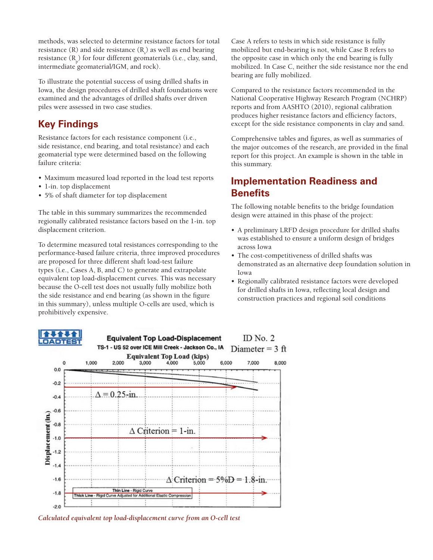methods, was selected to determine resistance factors for total resistance (R) and side resistance  $(R_{\rm s})$  as well as end bearing resistance  $(R_p)$  for four different geomaterials (i.e., clay, sand, intermediate geomaterial/IGM, and rock).

To illustrate the potential success of using drilled shafts in Iowa, the design procedures of drilled shaft foundations were examined and the advantages of drilled shafts over driven piles were assessed in two case studies.

## **Key Findings**

Resistance factors for each resistance component (i.e., side resistance, end bearing, and total resistance) and each geomaterial type were determined based on the following failure criteria:

- Maximum measured load reported in the load test reports
- 1-in. top displacement
- 5% of shaft diameter for top displacement

The table in this summary summarizes the recommended regionally calibrated resistance factors based on the 1-in. top displacement criterion.

To determine measured total resistances corresponding to the performance-based failure criteria, three improved procedures are proposed for three different shaft load-test failure types (i.e., Cases A, B, and C) to generate and extrapolate equivalent top load-displacement curves. This was necessary because the O-cell test does not usually fully mobilize both the side resistance and end bearing (as shown in the figure in this summary), unless multiple O-cells are used, which is prohibitively expensive.

Case A refers to tests in which side resistance is fully mobilized but end-bearing is not, while Case B refers to the opposite case in which only the end bearing is fully mobilized. In Case C, neither the side resistance nor the end bearing are fully mobilized.

Compared to the resistance factors recommended in the National Cooperative Highway Research Program (NCHRP) reports and from AASHTO (2010), regional calibration produces higher resistance factors and efficiency factors, except for the side resistance components in clay and sand.

Comprehensive tables and figures, as well as summaries of the major outcomes of the research, are provided in the final report for this project. An example is shown in the table in this summary.

### **Implementation Readiness and Benefits**

The following notable benefits to the bridge foundation design were attained in this phase of the project:

- A preliminary LRFD design procedure for drilled shafts was established to ensure a uniform design of bridges across Iowa
- The cost-competitiveness of drilled shafts was demonstrated as an alternative deep foundation solution in Iowa
- Regionally calibrated resistance factors were developed for drilled shafts in Iowa, reflecting local design and construction practices and regional soil conditions



*Calculated equivalent top load-displacement curve from an O-cell test*